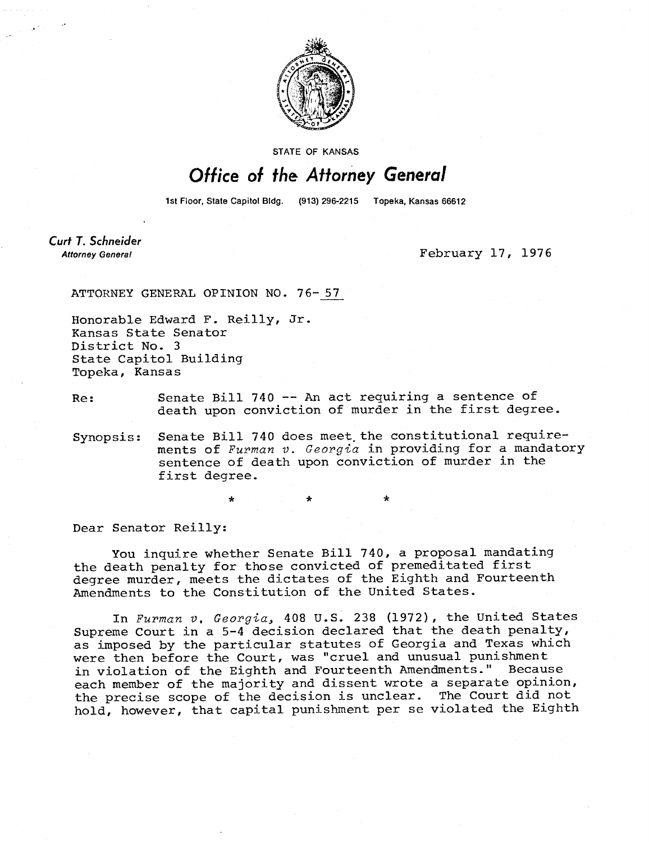

STATE OF KANSAS

## Office of the Attorney General

1st Floor, State Capitol Bldg. (913) 296-2215 Topeka, Kansas 66612

Curt T. Schneider **Attorney General** 

February 17, 1976

ATTORNEY GENERAL OPINION NO. 76-57

Honorable Edward F. Reilly, Jr. Kansas State Senator District No. 3 State Capitol Building Topeka, Kansas

Re: Senate Bill 740 -- An act requiring a sentence of death upon conviction of murder in the first degree.

Synopsis: Senate Bill 740 does meet the constitutional requirements of Furman v. Georgia in providing for a mandatory sentence of death upon conviction of murder in the first degree.

Dear Senator Reilly:

You inquire whether Senate Bill 740, a proposal mandating the death penalty for those convicted of premeditated first degree murder, meets the dictates of the Eighth and Fourteenth Amendments to the Constitution of the United States.

\*

In Furman v, Georgia, 408 U.S. 238 (1972), the United States Supreme Court in a 5-4 decision declared that the death penalty, as imposed by the particular statutes of Georgia and Texas which were then before the Court, was "cruel and unusual punishment in violation of the Eighth and Fourteenth Amendments." Because each member of the majority and dissent wrote a separate opinion, the precise scope of the decision is unclear. The Court did not hold, however, that capital punishment per se violated the Eighth